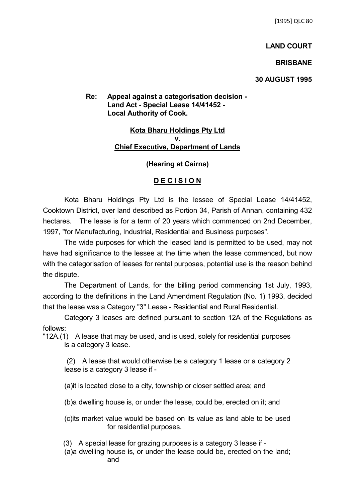## **LAND COURT**

## **BRISBANE**

### **30 AUGUST 1995**

# **Re: Appeal against a categorisation decision - Land Act - Special Lease 14/41452 - Local Authority of Cook.**

### **Kota Bharu Holdings Pty Ltd v. Chief Executive, Department of Lands**

### **(Hearing at Cairns)**

## **D E C I S I O N**

Kota Bharu Holdings Pty Ltd is the lessee of Special Lease 14/41452, Cooktown District, over land described as Portion 34, Parish of Annan, containing 432 hectares. The lease is for a term of 20 years which commenced on 2nd December, 1997, "for Manufacturing, Industrial, Residential and Business purposes".

The wide purposes for which the leased land is permitted to be used, may not have had significance to the lessee at the time when the lease commenced, but now with the categorisation of leases for rental purposes, potential use is the reason behind the dispute.

The Department of Lands, for the billing period commencing 1st July, 1993, according to the definitions in the Land Amendment Regulation (No. 1) 1993, decided that the lease was a Category "3" Lease - Residential and Rural Residential.

Category 3 leases are defined pursuant to section 12A of the Regulations as follows:

"12A.(1) A lease that may be used, and is used, solely for residential purposes is a category 3 lease.

 (2) A lease that would otherwise be a category 1 lease or a category 2 lease is a category 3 lease if -

(a)it is located close to a city, township or closer settled area; and

(b)a dwelling house is, or under the lease, could be, erected on it; and

(c)its market value would be based on its value as land able to be used for residential purposes.

(3) A special lease for grazing purposes is a category 3 lease if -

(a)a dwelling house is, or under the lease could be, erected on the land; and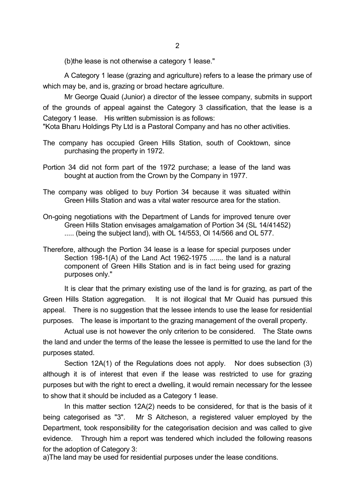(b)the lease is not otherwise a category 1 lease."

A Category 1 lease (grazing and agriculture) refers to a lease the primary use of which may be, and is, grazing or broad hectare agriculture.

Mr George Quaid (Junior) a director of the lessee company, submits in support of the grounds of appeal against the Category 3 classification, that the lease is a Category 1 lease. His written submission is as follows:

"Kota Bharu Holdings Pty Ltd is a Pastoral Company and has no other activities.

- The company has occupied Green Hills Station, south of Cooktown, since purchasing the property in 1972.
- Portion 34 did not form part of the 1972 purchase; a lease of the land was bought at auction from the Crown by the Company in 1977.
- The company was obliged to buy Portion 34 because it was situated within Green Hills Station and was a vital water resource area for the station.
- On-going negotiations with the Department of Lands for improved tenure over Green Hills Station envisages amalgamation of Portion 34 (SL 14/41452) ..... (being the subject land), with OL 14/553, Ol 14/566 and OL 577.
- Therefore, although the Portion 34 lease is a lease for special purposes under Section 198-1(A) of the Land Act 1962-1975 ....... the land is a natural component of Green Hills Station and is in fact being used for grazing purposes only."

It is clear that the primary existing use of the land is for grazing, as part of the Green Hills Station aggregation. It is not illogical that Mr Quaid has pursued this appeal. There is no suggestion that the lessee intends to use the lease for residential purposes. The lease is important to the grazing management of the overall property.

Actual use is not however the only criterion to be considered. The State owns the land and under the terms of the lease the lessee is permitted to use the land for the purposes stated.

Section 12A(1) of the Regulations does not apply. Nor does subsection (3) although it is of interest that even if the lease was restricted to use for grazing purposes but with the right to erect a dwelling, it would remain necessary for the lessee to show that it should be included as a Category 1 lease.

In this matter section 12A(2) needs to be considered, for that is the basis of it being categorised as "3". Mr S Aitcheson, a registered valuer employed by the Department, took responsibility for the categorisation decision and was called to give evidence. Through him a report was tendered which included the following reasons for the adoption of Category 3:

a)The land may be used for residential purposes under the lease conditions.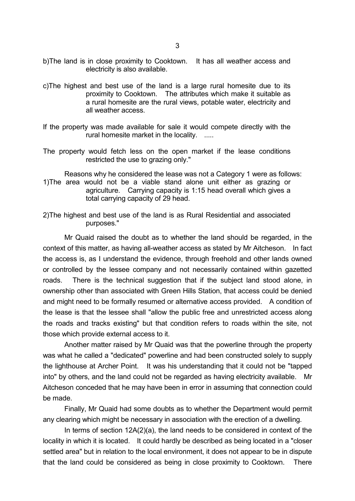- b)The land is in close proximity to Cooktown. It has all weather access and electricity is also available.
- c)The highest and best use of the land is a large rural homesite due to its proximity to Cooktown. The attributes which make it suitable as a rural homesite are the rural views, potable water, electricity and all weather access.
- If the property was made available for sale it would compete directly with the rural homesite market in the locality. .....
- The property would fetch less on the open market if the lease conditions restricted the use to grazing only."

Reasons why he considered the lease was not a Category 1 were as follows: 1)The area would not be a viable stand alone unit either as grazing or agriculture. Carrying capacity is 1:15 head overall which gives a total carrying capacity of 29 head.

2)The highest and best use of the land is as Rural Residential and associated purposes."

Mr Quaid raised the doubt as to whether the land should be regarded, in the context of this matter, as having all-weather access as stated by Mr Aitcheson. In fact the access is, as I understand the evidence, through freehold and other lands owned or controlled by the lessee company and not necessarily contained within gazetted roads. There is the technical suggestion that if the subject land stood alone, in ownership other than associated with Green Hills Station, that access could be denied and might need to be formally resumed or alternative access provided. A condition of the lease is that the lessee shall "allow the public free and unrestricted access along the roads and tracks existing" but that condition refers to roads within the site, not those which provide external access to it.

Another matter raised by Mr Quaid was that the powerline through the property was what he called a "dedicated" powerline and had been constructed solely to supply the lighthouse at Archer Point. It was his understanding that it could not be "tapped into" by others, and the land could not be regarded as having electricity available. Mr Aitcheson conceded that he may have been in error in assuming that connection could be made.

Finally, Mr Quaid had some doubts as to whether the Department would permit any clearing which might be necessary in association with the erection of a dwelling.

In terms of section 12A(2)(a), the land needs to be considered in context of the locality in which it is located. It could hardly be described as being located in a "closer settled area" but in relation to the local environment, it does not appear to be in dispute that the land could be considered as being in close proximity to Cooktown. There